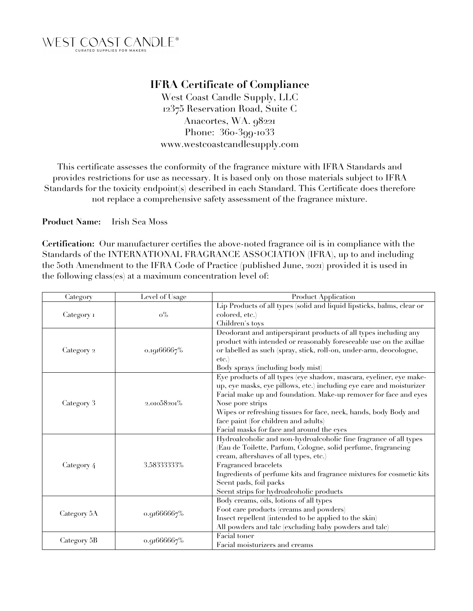

## **IFRA Certificate of Compliance**

West Coast Candle Supply, LLC 12375 Reservation Road, Suite C Anacortes, WA. 98221 Phone: 360-399-1033 www.westcoastcandlesupply.com

This certificate assesses the conformity of the fragrance mixture with IFRA Standards and provides restrictions for use as necessary. It is based only on those materials subject to IFRA Standards for the toxicity endpoint(s) described in each Standard. This Certificate does therefore not replace a comprehensive safety assessment of the fragrance mixture.

**Product Name:** Irish Sea Moss

**Certification:** Our manufacturer certifies the above-noted fragrance oil is in compliance with the Standards of the INTERNATIONAL FRAGRANCE ASSOCIATION (IFRA), up to and including the 50th Amendment to the IFRA Code of Practice (published June, 2021) provided it is used in the following class(es) at a maximum concentration level of:

| Category    | Level of Usage | <b>Product Application</b>                                                                                                                                                                                                                                                                                                                                                                   |
|-------------|----------------|----------------------------------------------------------------------------------------------------------------------------------------------------------------------------------------------------------------------------------------------------------------------------------------------------------------------------------------------------------------------------------------------|
| Category 1  | $\rm o\%$      | Lip Products of all types (solid and liquid lipsticks, balms, clear or<br>colored, etc.)<br>Children's toys                                                                                                                                                                                                                                                                                  |
| Category 2  | o.19166667%    | Deodorant and antiperspirant products of all types including any<br>product with intended or reasonably foreseeable use on the axillae<br>or labelled as such (spray, stick, roll-on, under-arm, deocologne,<br>etc.<br>Body sprays (including body mist)                                                                                                                                    |
| Category 3  | 2.01058201%    | Eye products of all types (eye shadow, mascara, eyeliner, eye make-<br>up, eye masks, eye pillows, etc.) including eye care and moisturizer<br>Facial make up and foundation. Make-up remover for face and eyes<br>Nose pore strips<br>Wipes or refreshing tissues for face, neck, hands, body Body and<br>face paint (for children and adults)<br>Facial masks for face and around the eyes |
| Category 4  | 3.58333333%    | Hydroalcoholic and non-hydroalcoholic fine fragrance of all types<br>(Eau de Toilette, Parfum, Cologne, solid perfume, fragrancing<br>cream, aftershaves of all types, etc.)<br>Fragranced bracelets<br>Ingredients of perfume kits and fragrance mixtures for cosmetic kits<br>Scent pads, foil packs<br>Scent strips for hydroalcoholic products                                           |
| Category 5A | 0.91666667%    | Body creams, oils, lotions of all types<br>Foot care products (creams and powders)<br>Insect repellent (intended to be applied to the skin)<br>All powders and tale (excluding baby powders and tale)                                                                                                                                                                                        |
| Category 5B | o.91666667%    | Facial toner<br>Facial moisturizers and creams                                                                                                                                                                                                                                                                                                                                               |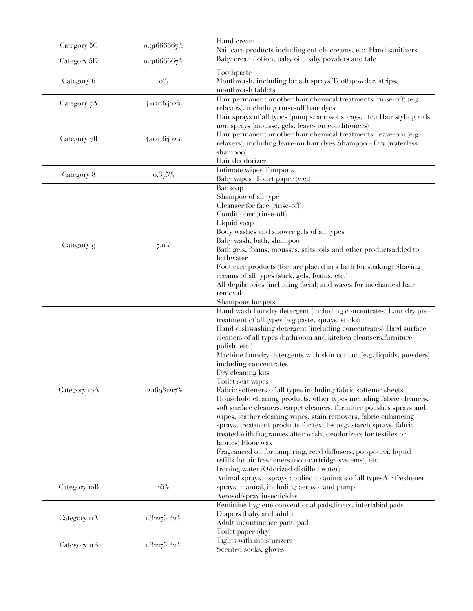| Category 5C  | 0.91666667%  | Hand cream<br>Nail care products including cuticle creams, etc. Hand sanitizers                                                                                                                                                                                                                                                                                                                                                                                                                                                                                                                                                                                                                                                                                                                                                                                                                                                                                                                                                                               |
|--------------|--------------|---------------------------------------------------------------------------------------------------------------------------------------------------------------------------------------------------------------------------------------------------------------------------------------------------------------------------------------------------------------------------------------------------------------------------------------------------------------------------------------------------------------------------------------------------------------------------------------------------------------------------------------------------------------------------------------------------------------------------------------------------------------------------------------------------------------------------------------------------------------------------------------------------------------------------------------------------------------------------------------------------------------------------------------------------------------|
| Category 5D  | o.91666667%  | Baby cream/lotion, baby oil, baby powders and talc                                                                                                                                                                                                                                                                                                                                                                                                                                                                                                                                                                                                                                                                                                                                                                                                                                                                                                                                                                                                            |
| Category 6   | $\rm o\%$    | Toothpaste<br>Mouthwash, including breath sprays Toothpowder, strips,<br>mouthwash tablets                                                                                                                                                                                                                                                                                                                                                                                                                                                                                                                                                                                                                                                                                                                                                                                                                                                                                                                                                                    |
| Category 7A  | 4.02116402%  | Hair permanent or other hair chemical treatments (rinse-off) (e.g.<br>relaxers), including rinse-off hair dyes                                                                                                                                                                                                                                                                                                                                                                                                                                                                                                                                                                                                                                                                                                                                                                                                                                                                                                                                                |
| Category 7B  | 4.02116402%  | Hair sprays of all types (pumps, aerosol sprays, etc.) Hair styling aids<br>non sprays (mousse, gels, leave- on conditioners)<br>Hair permanent or other hair chemical treatments (leave-on) (e.g.<br>relaxers), including leave-on hair dyes Shampoo - Dry (waterless<br>shampoo)<br>Hair deodorizer                                                                                                                                                                                                                                                                                                                                                                                                                                                                                                                                                                                                                                                                                                                                                         |
| Category 8   | 0.375%       | Intimate wipes Tampons<br>Baby wipes Toilet paper (wet)                                                                                                                                                                                                                                                                                                                                                                                                                                                                                                                                                                                                                                                                                                                                                                                                                                                                                                                                                                                                       |
| Category 9   | $7.0\%$      | Bar soap<br>Shampoo of all type<br>Cleanser for face (rinse-off)<br>Conditioner (rinse-off)<br>Liquid soap<br>Body washes and shower gels of all types<br>Baby wash, bath, shampoo<br>Bath gels, foams, mousses, salts, oils and other productsadded to<br>bathwater<br>Foot care products (feet are placed in a bath for soaking) Shaving<br>creams of all types (stick, gels, foams, etc.)<br>All depilatories (including facial) and waxes for mechanical hair<br>removal<br>Shampoos for pets                                                                                                                                                                                                                                                                                                                                                                                                                                                                                                                                                             |
| Category IOA | 12.16931217% | Hand wash laundry detergent (including concentrates) Laundry pre-<br>treatment of all types (e.g.paste, sprays, sticks)<br>Hand dishwashing detergent (including concentrates) Hard surface<br>cleaners of all types (bathroom and kitchen cleansers, furniture<br>polish, etc.)<br>Machine laundry detergents with skin contact (e.g. liquids, powders)<br>including concentrates<br>Dry cleaning kits<br>Toilet seat wipes<br>Fabric softeners of all types including fabric softener sheets<br>Household cleaning products, other types including fabric cleaners,<br>soft surface cleaners, carpet cleaners, furniture polishes sprays and<br>wipes, leather cleaning wipes, stain removers, fabric enhancing<br>sprays, treatment products for textiles (e.g. starch sprays, fabric<br>treated with fragrances after wash, deodorizers for textiles or<br>fabrics) Floor wax<br>Fragranced oil for lamp ring, reed diffusers, pot-pourri, liquid<br>refills for air fresheners (non-cartridge systems), etc.<br>Ironing water (Odorized distilled water) |
| Category 10B | $25\%$       | Animal sprays sprays applied to animals of all typesAir freshener<br>sprays, manual, including aerosol and pump<br>Aerosol/spray insecticides                                                                                                                                                                                                                                                                                                                                                                                                                                                                                                                                                                                                                                                                                                                                                                                                                                                                                                                 |
| Category 11A | 1.32275132%  | Feminine hygiene conventional pads, liners, interlabial pads<br>Diapers (baby and adult)<br>Adult incontinence pant, pad<br>Toilet paper (dry)                                                                                                                                                                                                                                                                                                                                                                                                                                                                                                                                                                                                                                                                                                                                                                                                                                                                                                                |
| Category 11B | 1.32275132%  | Tights with moisturizers<br>Scented socks, gloves                                                                                                                                                                                                                                                                                                                                                                                                                                                                                                                                                                                                                                                                                                                                                                                                                                                                                                                                                                                                             |